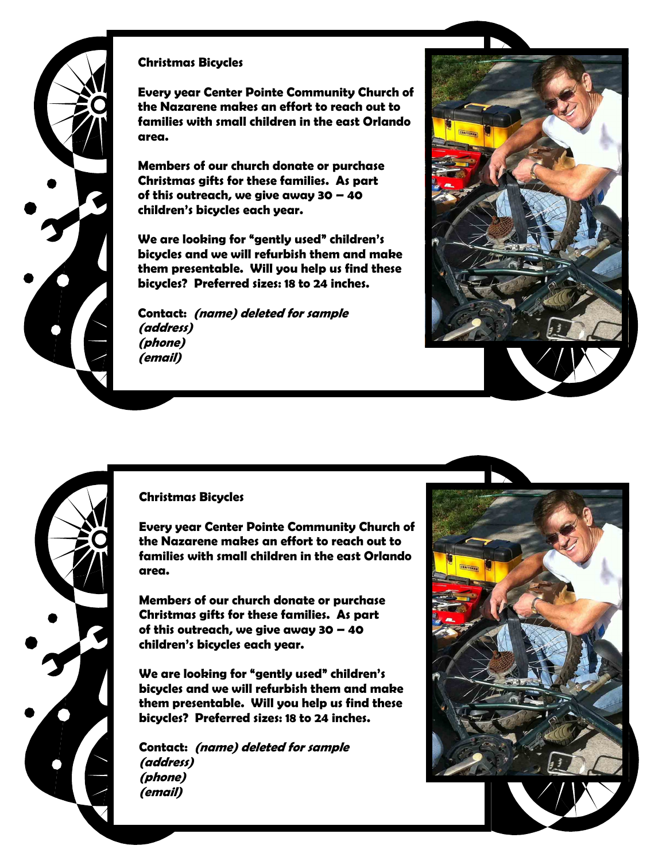

## **Christmas Bicycles**

**Every year Center Pointe Community Church of the Nazarene makes an effort to reach out to families with small children in the east Orlando area.** 

**Members of our church donate or purchase Christmas gifts for these families. As part of this outreach, we give away 30 – 40 children's bicycles each year.**

**We are looking for "gently used" children's bicycles and we will refurbish them and make them presentable. Will you help us find these bicycles? Preferred sizes: 18 to 24 inches.**

**Contact: (name) deleted for sample (address) (phone) (email)**



### **Christmas Bicycles**

**Every year Center Pointe Community Church of the Nazarene makes an effort to reach out to families with small children in the east Orlando area.** 

**Members of our church donate or purchase Christmas gifts for these families. As part of this outreach, we give away 30 – 40 children's bicycles each year.**

**We are looking for "gently used" children's bicycles and we will refurbish them and make them presentable. Will you help us find these bicycles? Preferred sizes: 18 to 24 inches.**

**Contact: (name) deleted for sample (address) (phone) (email)**